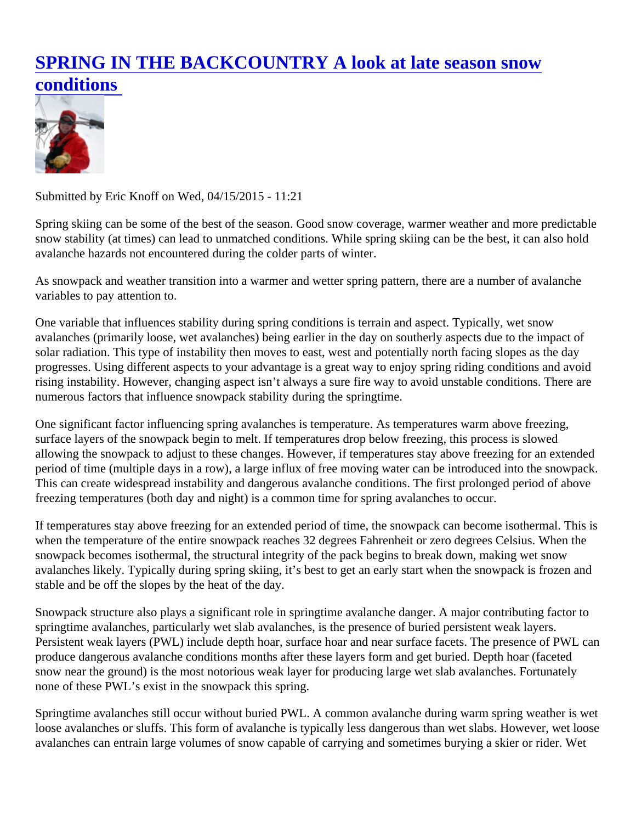## [SPRING IN THE BACKCOUNTRY A look at late season snow](https://www.mtavalanche.com/blog/spring-backcountry-look-late-season-snow-conditions) [conditions](https://www.mtavalanche.com/blog/spring-backcountry-look-late-season-snow-conditions)

Submitted by Eric Knoff on Wed, 04/15/2015 - 11:21

Spring skiing can be some of the best of the season. Good snow coverage, warmer weather and more predic snow stability (at times) can lead to unmatched conditions. While spring skiing can be the best, it can also hol avalanche hazards not encountered during the colder parts of winter.

As snowpack and weather transition into a warmer and wetter spring pattern, there are a number of avalanch variables to pay attention to.

One variable that influences stability during spring conditions is terrain and aspect. Typically, wet snow avalanches (primarily loose, wet avalanches) being earlier in the day on southerly aspects due to the impact o solar radiation. This type of instability then moves to east, west and potentially north facing slopes as the day progresses. Using different aspects to your advantage is a great way to enjoy spring riding conditions and avo rising instability. However, changing aspect isn't always a sure fire way to avoid unstable conditions. There are numerous factors that influence snowpack stability during the springtime.

One significant factor influencing spring avalanches is temperature. As temperatures warm above freezing, surface layers of the snowpack begin to melt. If temperatures drop below freezing, this process is slowed allowing the snowpack to adjust to these changes. However, if temperatures stay above freezing for an exten period of time (multiple days in a row), a large influx of free moving water can be introduced into the snowpac This can create widespread instability and dangerous avalanche conditions. The first prolonged period of abo freezing temperatures (both day and night) is a common time for spring avalanches to occur.

If temperatures stay above freezing for an extended period of time, the snowpack can become isothermal. Th when the temperature of the entire snowpack reaches 32 degrees Fahrenheit or zero degrees Celsius. When snowpack becomes isothermal, the structural integrity of the pack begins to break down, making wet snow avalanches likely. Typically during spring skiing, it's best to get an early start when the snowpack is frozen an stable and be off the slopes by the heat of the day.

Snowpack structure also plays a significant role in springtime avalanche danger. A major contributing factor to springtime avalanches, particularly wet slab avalanches, is the presence of buried persistent weak layers. Persistent weak layers (PWL) include depth hoar, surface hoar and near surface facets. The presence of PW produce dangerous avalanche conditions months after these layers form and get buried. Depth hoar (faceted snow near the ground) is the most notorious weak layer for producing large wet slab avalanches. Fortunately none of these PWL's exist in the snowpack this spring.

Springtime avalanches still occur without buried PWL. A common avalanche during warm spring weather is w loose avalanches or sluffs. This form of avalanche is typically less dangerous than wet slabs. However, wet lo avalanches can entrain large volumes of snow capable of carrying and sometimes burying a skier or rider. Wettl